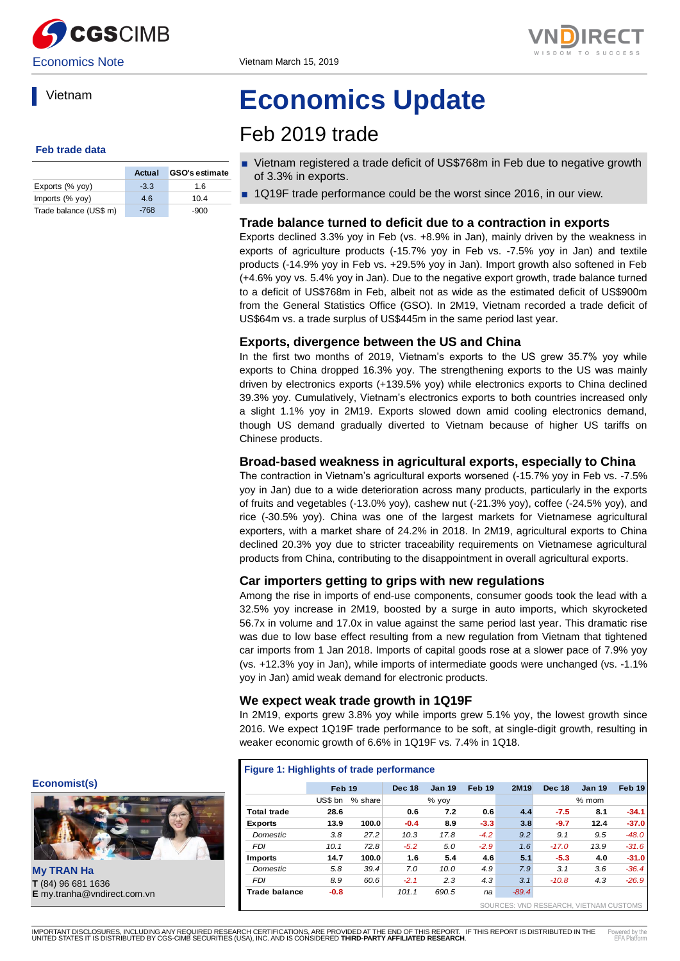



### Vietnam

#### **Feb trade data**

|                        | Actual | <b>GSO's estimate</b> |
|------------------------|--------|-----------------------|
| Exports (% yoy)        | $-3.3$ | 1.6                   |
| Imports (% yoy)        | 4.6    | 10.4                  |
| Trade balance (US\$ m) | $-768$ | $-900$                |

# **Economics Update**

## Feb 2019 trade

- Vietnam registered a trade deficit of US\$768m in Feb due to negative growth of 3.3% in exports.
- 1Q19F trade performance could be the worst since 2016, in our view.

#### **Trade balance turned to deficit due to a contraction in exports**

Exports declined 3.3% yoy in Feb (vs. +8.9% in Jan), mainly driven by the weakness in exports of agriculture products (-15.7% yoy in Feb vs. -7.5% yoy in Jan) and textile products (-14.9% yoy in Feb vs. +29.5% yoy in Jan). Import growth also softened in Feb (+4.6% yoy vs. 5.4% yoy in Jan). Due to the negative export growth, trade balance turned to a deficit of US\$768m in Feb, albeit not as wide as the estimated deficit of US\$900m from the General Statistics Office (GSO). In 2M19, Vietnam recorded a trade deficit of US\$64m vs. a trade surplus of US\$445m in the same period last year.

#### **Exports, divergence between the US and China**

In the first two months of 2019, Vietnam's exports to the US grew 35.7% yoy while exports to China dropped 16.3% yoy. The strengthening exports to the US was mainly driven by electronics exports (+139.5% yoy) while electronics exports to China declined 39.3% yoy. Cumulatively, Vietnam's electronics exports to both countries increased only a slight 1.1% yoy in 2M19. Exports slowed down amid cooling electronics demand, though US demand gradually diverted to Vietnam because of higher US tariffs on Chinese products.

#### **Broad-based weakness in agricultural exports, especially to China**

The contraction in Vietnam's agricultural exports worsened (-15.7% yoy in Feb vs. -7.5% yoy in Jan) due to a wide deterioration across many products, particularly in the exports of fruits and vegetables (-13.0% yoy), cashew nut (-21.3% yoy), coffee (-24.5% yoy), and rice (-30.5% yoy). China was one of the largest markets for Vietnamese agricultural exporters, with a market share of 24.2% in 2018. In 2M19, agricultural exports to China declined 20.3% yoy due to stricter traceability requirements on Vietnamese agricultural products from China, contributing to the disappointment in overall agricultural exports.

#### **Car importers getting to grips with new regulations**

Among the rise in imports of end-use components, consumer goods took the lead with a 32.5% yoy increase in 2M19, boosted by a surge in auto imports, which skyrocketed 56.7x in volume and 17.0x in value against the same period last year. This dramatic rise was due to low base effect resulting from a new regulation from Vietnam that tightened car imports from 1 Jan 2018. Imports of capital goods rose at a slower pace of 7.9% yoy (vs. +12.3% yoy in Jan), while imports of intermediate goods were unchanged (vs. -1.1% yoy in Jan) amid weak demand for electronic products.

#### **We expect weak trade growth in 1Q19F**

In 2M19, exports grew 3.8% yoy while imports grew 5.1% yoy, the lowest growth since 2016. We expect 1Q19F trade performance to be soft, at single-digit growth, resulting in weaker economic growth of 6.6% in 1Q19F vs. 7.4% in 1Q18.

| Figure 1: Highlights of trade performance |                   |         |               |               |        |         |                                        |               |         |
|-------------------------------------------|-------------------|---------|---------------|---------------|--------|---------|----------------------------------------|---------------|---------|
|                                           | Feb <sub>19</sub> |         | <b>Dec 18</b> | <b>Jan 19</b> | Feb 19 | 2M19    | <b>Dec 18</b>                          | <b>Jan 19</b> | Feb 19  |
|                                           | US\$ bn           | % share |               | % yoy         |        |         |                                        | $%$ mom       |         |
| <b>Total trade</b>                        | 28.6              |         | 0.6           | 7.2           | 0.6    | 4.4     | $-7.5$                                 | 8.1           | $-34.1$ |
| <b>Exports</b>                            | 13.9              | 100.0   | $-0.4$        | 8.9           | $-3.3$ | 3.8     | $-9.7$                                 | 12.4          | $-37.0$ |
| <b>Domestic</b>                           | 3.8               | 27.2    | 10.3          | 17.8          | $-4.2$ | 9.2     | 9.1                                    | 9.5           | $-48.0$ |
| <b>FDI</b>                                | 10.1              | 72.8    | $-5.2$        | 5.0           | $-2.9$ | 1.6     | $-17.0$                                | 13.9          | $-31.6$ |
| <b>Imports</b>                            | 14.7              | 100.0   | 1.6           | 5.4           | 4.6    | 5.1     | $-5.3$                                 | 4.0           | $-31.0$ |
| Domestic                                  | 5.8               | 39.4    | 7.0           | 10.0          | 4.9    | 7.9     | 3.1                                    | 3.6           | $-36.4$ |
| <b>FDI</b>                                | 8.9               | 60.6    | $-2.1$        | 2.3           | 4.3    | 3.1     | $-10.8$                                | 4.3           | $-26.9$ |
| <b>Trade balance</b>                      | $-0.8$            |         | 101.1         | 690.5         | na     | $-89.4$ |                                        |               |         |
|                                           |                   |         |               |               |        |         | SOURCES: VND RESEARCH, VIETNAM CUSTOMS |               |         |

**Economist(s)**



**My TRAN Ha T** (84) 96 681 1636<br>**E** my.tranha@vndirect.com.vn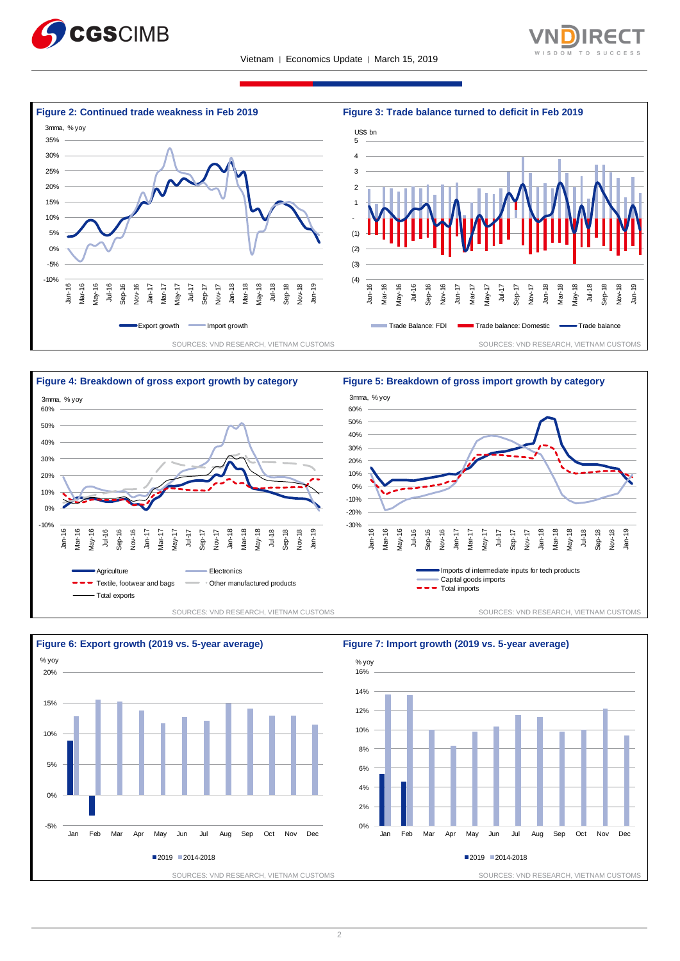











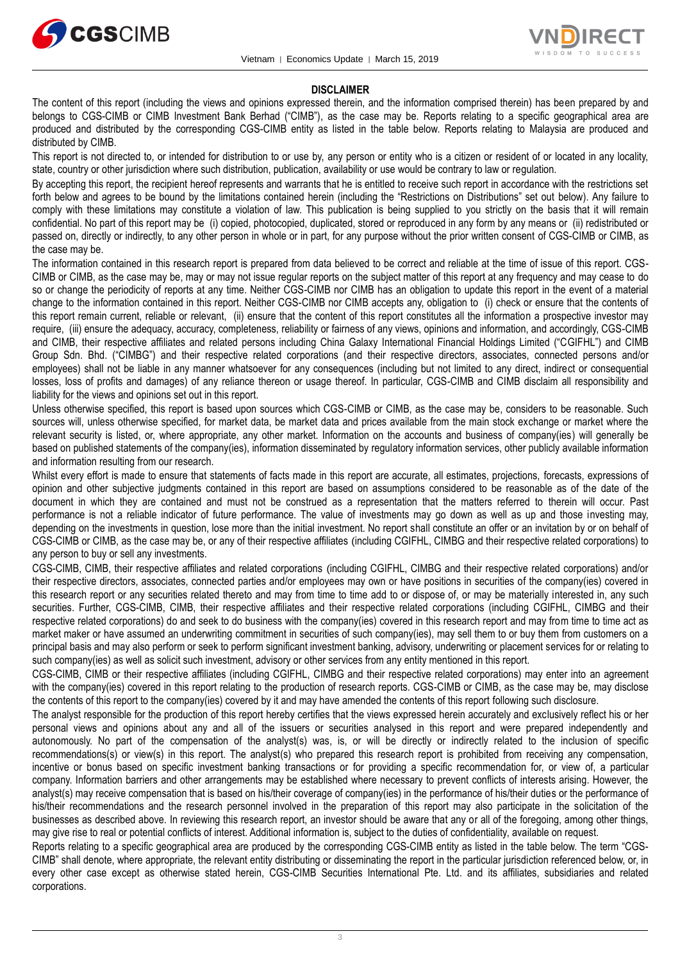



#### **DISCLAIMER**

The content of this report (including the views and opinions expressed therein, and the information comprised therein) has been prepared by and belongs to CGS-CIMB or CIMB Investment Bank Berhad ("CIMB"), as the case may be. Reports relating to a specific geographical area are produced and distributed by the corresponding CGS-CIMB entity as listed in the table below. Reports relating to Malaysia are produced and distributed by CIMB.

This report is not directed to, or intended for distribution to or use by, any person or entity who is a citizen or resident of or located in any locality, state, country or other jurisdiction where such distribution, publication, availability or use would be contrary to law or regulation.

By accepting this report, the recipient hereof represents and warrants that he is entitled to receive such report in accordance with the restrictions set forth below and agrees to be bound by the limitations contained herein (including the "Restrictions on Distributions" set out below). Any failure to comply with these limitations may constitute a violation of law. This publication is being supplied to you strictly on the basis that it will remain confidential. No part of this report may be (i) copied, photocopied, duplicated, stored or reproduced in any form by any means or (ii) redistributed or passed on, directly or indirectly, to any other person in whole or in part, for any purpose without the prior written consent of CGS-CIMB or CIMB, as the case may be.

The information contained in this research report is prepared from data believed to be correct and reliable at the time of issue of this report. CGS-CIMB or CIMB, as the case may be, may or may not issue regular reports on the subject matter of this report at any frequency and may cease to do so or change the periodicity of reports at any time. Neither CGS-CIMB nor CIMB has an obligation to update this report in the event of a material change to the information contained in this report. Neither CGS-CIMB nor CIMB accepts any, obligation to (i) check or ensure that the contents of this report remain current, reliable or relevant, (ii) ensure that the content of this report constitutes all the information a prospective investor may require, (iii) ensure the adequacy, accuracy, completeness, reliability or fairness of any views, opinions and information, and accordingly, CGS-CIMB and CIMB, their respective affiliates and related persons including China Galaxy International Financial Holdings Limited ("CGIFHL") and CIMB Group Sdn. Bhd. ("CIMBG") and their respective related corporations (and their respective directors, associates, connected persons and/or employees) shall not be liable in any manner whatsoever for any consequences (including but not limited to any direct, indirect or consequential losses, loss of profits and damages) of any reliance thereon or usage thereof. In particular, CGS-CIMB and CIMB disclaim all responsibility and liability for the views and opinions set out in this report.

Unless otherwise specified, this report is based upon sources which CGS-CIMB or CIMB, as the case may be, considers to be reasonable. Such sources will, unless otherwise specified, for market data, be market data and prices available from the main stock exchange or market where the relevant security is listed, or, where appropriate, any other market. Information on the accounts and business of company(ies) will generally be based on published statements of the company(ies), information disseminated by regulatory information services, other publicly available information and information resulting from our research.

Whilst every effort is made to ensure that statements of facts made in this report are accurate, all estimates, projections, forecasts, expressions of opinion and other subjective judgments contained in this report are based on assumptions considered to be reasonable as of the date of the document in which they are contained and must not be construed as a representation that the matters referred to therein will occur. Past performance is not a reliable indicator of future performance. The value of investments may go down as well as up and those investing may, depending on the investments in question, lose more than the initial investment. No report shall constitute an offer or an invitation by or on behalf of CGS-CIMB or CIMB, as the case may be, or any of their respective affiliates (including CGIFHL, CIMBG and their respective related corporations) to any person to buy or sell any investments.

CGS-CIMB, CIMB, their respective affiliates and related corporations (including CGIFHL, CIMBG and their respective related corporations) and/or their respective directors, associates, connected parties and/or employees may own or have positions in securities of the company(ies) covered in this research report or any securities related thereto and may from time to time add to or dispose of, or may be materially interested in, any such securities. Further, CGS-CIMB, CIMB, their respective affiliates and their respective related corporations (including CGIFHL, CIMBG and their respective related corporations) do and seek to do business with the company(ies) covered in this research report and may from time to time act as market maker or have assumed an underwriting commitment in securities of such company(ies), may sell them to or buy them from customers on a principal basis and may also perform or seek to perform significant investment banking, advisory, underwriting or placement services for or relating to such company(ies) as well as solicit such investment, advisory or other services from any entity mentioned in this report.

CGS-CIMB, CIMB or their respective affiliates (including CGIFHL, CIMBG and their respective related corporations) may enter into an agreement with the company(ies) covered in this report relating to the production of research reports. CGS-CIMB or CIMB, as the case may be, may disclose the contents of this report to the company(ies) covered by it and may have amended the contents of this report following such disclosure.

The analyst responsible for the production of this report hereby certifies that the views expressed herein accurately and exclusively reflect his or her personal views and opinions about any and all of the issuers or securities analysed in this report and were prepared independently and autonomously. No part of the compensation of the analyst(s) was, is, or will be directly or indirectly related to the inclusion of specific recommendations(s) or view(s) in this report. The analyst(s) who prepared this research report is prohibited from receiving any compensation, incentive or bonus based on specific investment banking transactions or for providing a specific recommendation for, or view of, a particular company. Information barriers and other arrangements may be established where necessary to prevent conflicts of interests arising. However, the analyst(s) may receive compensation that is based on his/their coverage of company(ies) in the performance of his/their duties or the performance of his/their recommendations and the research personnel involved in the preparation of this report may also participate in the solicitation of the businesses as described above. In reviewing this research report, an investor should be aware that any or all of the foregoing, among other things, may give rise to real or potential conflicts of interest. Additional information is, subject to the duties of confidentiality, available on request.

Reports relating to a specific geographical area are produced by the corresponding CGS-CIMB entity as listed in the table below. The term "CGS-CIMB" shall denote, where appropriate, the relevant entity distributing or disseminating the report in the particular jurisdiction referenced below, or, in every other case except as otherwise stated herein, CGS-CIMB Securities International Pte. Ltd. and its affiliates, subsidiaries and related corporations.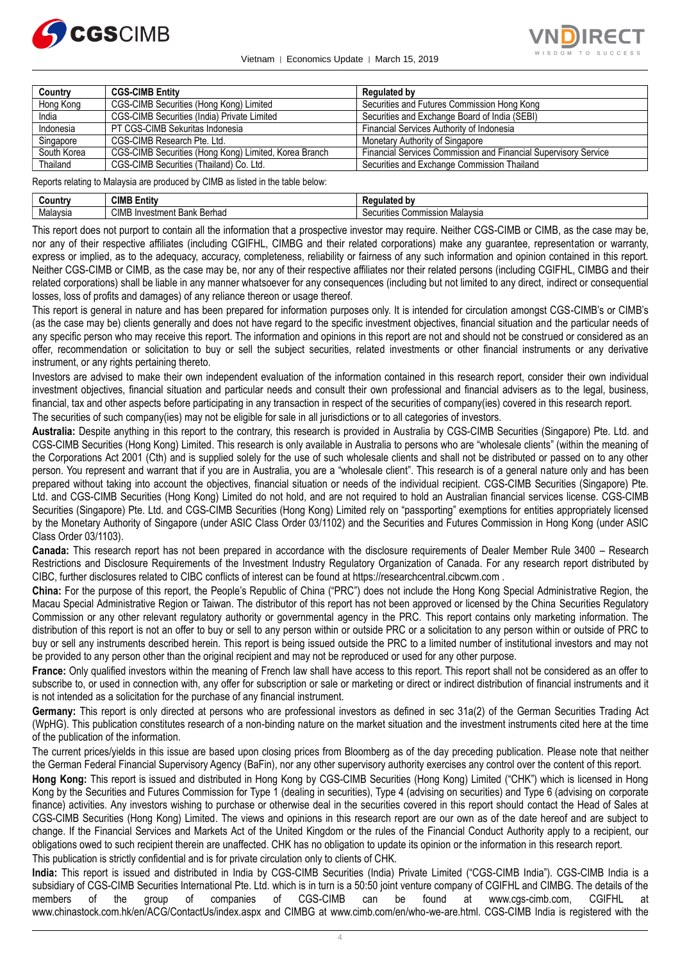

Vietnam │ Economics Update │ March 15, 2019



| Country     | <b>CGS-CIMB Entity</b>                                | Regulated by                                                    |
|-------------|-------------------------------------------------------|-----------------------------------------------------------------|
| Hong Kong   | CGS-CIMB Securities (Hong Kong) Limited               | Securities and Futures Commission Hong Kong                     |
| India       | CGS-CIMB Securities (India) Private Limited           | Securities and Exchange Board of India (SEBI)                   |
| Indonesia   | PT CGS-CIMB Sekuritas Indonesia                       | Financial Services Authority of Indonesia                       |
| Singapore   | CGS-CIMB Research Pte. Ltd.                           | Monetary Authority of Singapore                                 |
| South Korea | CGS-CIMB Securities (Hong Kong) Limited, Korea Branch | Financial Services Commission and Financial Supervisory Service |
| Thailand    | CGS-CIMB Securities (Thailand) Co. Ltd.               | Securities and Exchange Commission Thailand                     |

Reports relating to Malaysia are produced by CIMB as listed in the table below:

| じountrv  | CIMB<br>∃ntitv                               | .                                                        |
|----------|----------------------------------------------|----------------------------------------------------------|
| Malavsia | <b>CIME</b><br>Berhad<br>. Investment Bank F | $\cdots$<br>Malavsia<br>Commission<br>$\sim$<br>curities |

This report does not purport to contain all the information that a prospective investor may require. Neither CGS-CIMB or CIMB, as the case may be, nor any of their respective affiliates (including CGIFHL, CIMBG and their related corporations) make any guarantee, representation or warranty, express or implied, as to the adequacy, accuracy, completeness, reliability or fairness of any such information and opinion contained in this report. Neither CGS-CIMB or CIMB, as the case may be, nor any of their respective affiliates nor their related persons (including CGIFHL, CIMBG and their related corporations) shall be liable in any manner whatsoever for any consequences (including but not limited to any direct, indirect or consequential losses, loss of profits and damages) of any reliance thereon or usage thereof.

This report is general in nature and has been prepared for information purposes only. It is intended for circulation amongst CGS-CIMB's or CIMB's (as the case may be) clients generally and does not have regard to the specific investment objectives, financial situation and the particular needs of any specific person who may receive this report. The information and opinions in this report are not and should not be construed or considered as an offer, recommendation or solicitation to buy or sell the subject securities, related investments or other financial instruments or any derivative instrument, or any rights pertaining thereto.

Investors are advised to make their own independent evaluation of the information contained in this research report, consider their own individual investment objectives, financial situation and particular needs and consult their own professional and financial advisers as to the legal, business, financial, tax and other aspects before participating in any transaction in respect of the securities of company(ies) covered in this research report.

The securities of such company(ies) may not be eligible for sale in all jurisdictions or to all categories of investors.

**Australia:** Despite anything in this report to the contrary, this research is provided in Australia by CGS-CIMB Securities (Singapore) Pte. Ltd. and CGS-CIMB Securities (Hong Kong) Limited. This research is only available in Australia to persons who are "wholesale clients" (within the meaning of the Corporations Act 2001 (Cth) and is supplied solely for the use of such wholesale clients and shall not be distributed or passed on to any other person. You represent and warrant that if you are in Australia, you are a "wholesale client". This research is of a general nature only and has been prepared without taking into account the objectives, financial situation or needs of the individual recipient. CGS-CIMB Securities (Singapore) Pte. Ltd. and CGS-CIMB Securities (Hong Kong) Limited do not hold, and are not required to hold an Australian financial services license. CGS-CIMB Securities (Singapore) Pte. Ltd. and CGS-CIMB Securities (Hong Kong) Limited rely on "passporting" exemptions for entities appropriately licensed by the Monetary Authority of Singapore (under ASIC Class Order 03/1102) and the Securities and Futures Commission in Hong Kong (under ASIC Class Order 03/1103).

**Canada:** This research report has not been prepared in accordance with the disclosure requirements of Dealer Member Rule 3400 – Research Restrictions and Disclosure Requirements of the Investment Industry Regulatory Organization of Canada. For any research report distributed by CIBC, further disclosures related to CIBC conflicts of interest can be found at https://researchcentral.cibcwm.com .

**China:** For the purpose of this report, the People's Republic of China ("PRC") does not include the Hong Kong Special Administrative Region, the Macau Special Administrative Region or Taiwan. The distributor of this report has not been approved or licensed by the China Securities Regulatory Commission or any other relevant regulatory authority or governmental agency in the PRC. This report contains only marketing information. The distribution of this report is not an offer to buy or sell to any person within or outside PRC or a solicitation to any person within or outside of PRC to buy or sell any instruments described herein. This report is being issued outside the PRC to a limited number of institutional investors and may not be provided to any person other than the original recipient and may not be reproduced or used for any other purpose.

**France:** Only qualified investors within the meaning of French law shall have access to this report. This report shall not be considered as an offer to subscribe to, or used in connection with, any offer for subscription or sale or marketing or direct or indirect distribution of financial instruments and it is not intended as a solicitation for the purchase of any financial instrument.

**Germany:** This report is only directed at persons who are professional investors as defined in sec 31a(2) of the German Securities Trading Act (WpHG). This publication constitutes research of a non-binding nature on the market situation and the investment instruments cited here at the time of the publication of the information.

The current prices/yields in this issue are based upon closing prices from Bloomberg as of the day preceding publication. Please note that neither the German Federal Financial Supervisory Agency (BaFin), nor any other supervisory authority exercises any control over the content of this report.

**Hong Kong:** This report is issued and distributed in Hong Kong by CGS-CIMB Securities (Hong Kong) Limited ("CHK") which is licensed in Hong Kong by the Securities and Futures Commission for Type 1 (dealing in securities), Type 4 (advising on securities) and Type 6 (advising on corporate finance) activities. Any investors wishing to purchase or otherwise deal in the securities covered in this report should contact the Head of Sales at CGS-CIMB Securities (Hong Kong) Limited. The views and opinions in this research report are our own as of the date hereof and are subject to change. If the Financial Services and Markets Act of the United Kingdom or the rules of the Financial Conduct Authority apply to a recipient, our obligations owed to such recipient therein are unaffected. CHK has no obligation to update its opinion or the information in this research report. This publication is strictly confidential and is for private circulation only to clients of CHK.

**India:** This report is issued and distributed in India by CGS-CIMB Securities (India) Private Limited ("CGS-CIMB India"). CGS-CIMB India is a subsidiary of CGS-CIMB Securities International Pte. Ltd. which is in turn is a 50:50 joint venture company of CGIFHL and CIMBG. The details of the members of the group of companies of CGS-CIMB can be found at www.cgs-cimb.com, CGIFHL at www.chinastock.com.hk/en/ACG/ContactUs/index.aspx and CIMBG at www.cimb.com/en/who-we-are.html. CGS-CIMB India is registered with the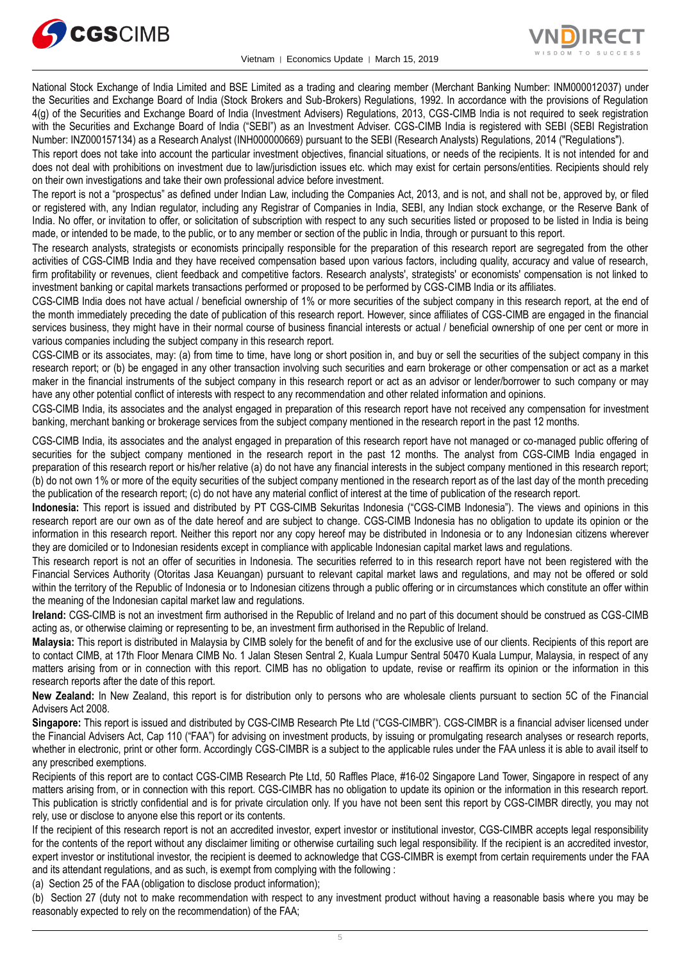



National Stock Exchange of India Limited and BSE Limited as a trading and clearing member (Merchant Banking Number: INM000012037) under the Securities and Exchange Board of India (Stock Brokers and Sub-Brokers) Regulations, 1992. In accordance with the provisions of Regulation 4(g) of the Securities and Exchange Board of India (Investment Advisers) Regulations, 2013, CGS-CIMB India is not required to seek registration with the Securities and Exchange Board of India ("SEBI") as an Investment Adviser. CGS-CIMB India is registered with SEBI (SEBI Registration Number: INZ000157134) as a Research Analyst (INH000000669) pursuant to the SEBI (Research Analysts) Regulations, 2014 ("Regulations").

This report does not take into account the particular investment objectives, financial situations, or needs of the recipients. It is not intended for and does not deal with prohibitions on investment due to law/jurisdiction issues etc. which may exist for certain persons/entities. Recipients should rely on their own investigations and take their own professional advice before investment.

The report is not a "prospectus" as defined under Indian Law, including the Companies Act, 2013, and is not, and shall not be, approved by, or filed or registered with, any Indian regulator, including any Registrar of Companies in India, SEBI, any Indian stock exchange, or the Reserve Bank of India. No offer, or invitation to offer, or solicitation of subscription with respect to any such securities listed or proposed to be listed in India is being made, or intended to be made, to the public, or to any member or section of the public in India, through or pursuant to this report.

The research analysts, strategists or economists principally responsible for the preparation of this research report are segregated from the other activities of CGS-CIMB India and they have received compensation based upon various factors, including quality, accuracy and value of research, firm profitability or revenues, client feedback and competitive factors. Research analysts', strategists' or economists' compensation is not linked to investment banking or capital markets transactions performed or proposed to be performed by CGS-CIMB India or its affiliates.

CGS-CIMB India does not have actual / beneficial ownership of 1% or more securities of the subject company in this research report, at the end of the month immediately preceding the date of publication of this research report. However, since affiliates of CGS-CIMB are engaged in the financial services business, they might have in their normal course of business financial interests or actual / beneficial ownership of one per cent or more in various companies including the subject company in this research report.

CGS-CIMB or its associates, may: (a) from time to time, have long or short position in, and buy or sell the securities of the subject company in this research report; or (b) be engaged in any other transaction involving such securities and earn brokerage or other compensation or act as a market maker in the financial instruments of the subject company in this research report or act as an advisor or lender/borrower to such company or may have any other potential conflict of interests with respect to any recommendation and other related information and opinions.

CGS-CIMB India, its associates and the analyst engaged in preparation of this research report have not received any compensation for investment banking, merchant banking or brokerage services from the subject company mentioned in the research report in the past 12 months.

CGS-CIMB India, its associates and the analyst engaged in preparation of this research report have not managed or co-managed public offering of securities for the subject company mentioned in the research report in the past 12 months. The analyst from CGS-CIMB India engaged in preparation of this research report or his/her relative (a) do not have any financial interests in the subject company mentioned in this research report; (b) do not own 1% or more of the equity securities of the subject company mentioned in the research report as of the last day of the month preceding the publication of the research report; (c) do not have any material conflict of interest at the time of publication of the research report.

**Indonesia:** This report is issued and distributed by PT CGS-CIMB Sekuritas Indonesia ("CGS-CIMB Indonesia"). The views and opinions in this research report are our own as of the date hereof and are subject to change. CGS-CIMB Indonesia has no obligation to update its opinion or the information in this research report. Neither this report nor any copy hereof may be distributed in Indonesia or to any Indonesian citizens wherever they are domiciled or to Indonesian residents except in compliance with applicable Indonesian capital market laws and regulations.

This research report is not an offer of securities in Indonesia. The securities referred to in this research report have not been registered with the Financial Services Authority (Otoritas Jasa Keuangan) pursuant to relevant capital market laws and regulations, and may not be offered or sold within the territory of the Republic of Indonesia or to Indonesian citizens through a public offering or in circumstances which constitute an offer within the meaning of the Indonesian capital market law and regulations.

**Ireland:** CGS-CIMB is not an investment firm authorised in the Republic of Ireland and no part of this document should be construed as CGS-CIMB acting as, or otherwise claiming or representing to be, an investment firm authorised in the Republic of Ireland.

**Malaysia:** This report is distributed in Malaysia by CIMB solely for the benefit of and for the exclusive use of our clients. Recipients of this report are to contact CIMB, at 17th Floor Menara CIMB No. 1 Jalan Stesen Sentral 2, Kuala Lumpur Sentral 50470 Kuala Lumpur, Malaysia, in respect of any matters arising from or in connection with this report. CIMB has no obligation to update, revise or reaffirm its opinion or the information in this research reports after the date of this report.

**New Zealand:** In New Zealand, this report is for distribution only to persons who are wholesale clients pursuant to section 5C of the Financial Advisers Act 2008.

**Singapore:** This report is issued and distributed by CGS-CIMB Research Pte Ltd ("CGS-CIMBR"). CGS-CIMBR is a financial adviser licensed under the Financial Advisers Act, Cap 110 ("FAA") for advising on investment products, by issuing or promulgating research analyses or research reports, whether in electronic, print or other form. Accordingly CGS-CIMBR is a subject to the applicable rules under the FAA unless it is able to avail itself to any prescribed exemptions.

Recipients of this report are to contact CGS-CIMB Research Pte Ltd, 50 Raffles Place, #16-02 Singapore Land Tower, Singapore in respect of any matters arising from, or in connection with this report. CGS-CIMBR has no obligation to update its opinion or the information in this research report. This publication is strictly confidential and is for private circulation only. If you have not been sent this report by CGS-CIMBR directly, you may not rely, use or disclose to anyone else this report or its contents.

If the recipient of this research report is not an accredited investor, expert investor or institutional investor, CGS-CIMBR accepts legal responsibility for the contents of the report without any disclaimer limiting or otherwise curtailing such legal responsibility. If the recipient is an accredited investor, expert investor or institutional investor, the recipient is deemed to acknowledge that CGS-CIMBR is exempt from certain requirements under the FAA and its attendant regulations, and as such, is exempt from complying with the following :

(a) Section 25 of the FAA (obligation to disclose product information);

(b) Section 27 (duty not to make recommendation with respect to any investment product without having a reasonable basis where you may be reasonably expected to rely on the recommendation) of the FAA;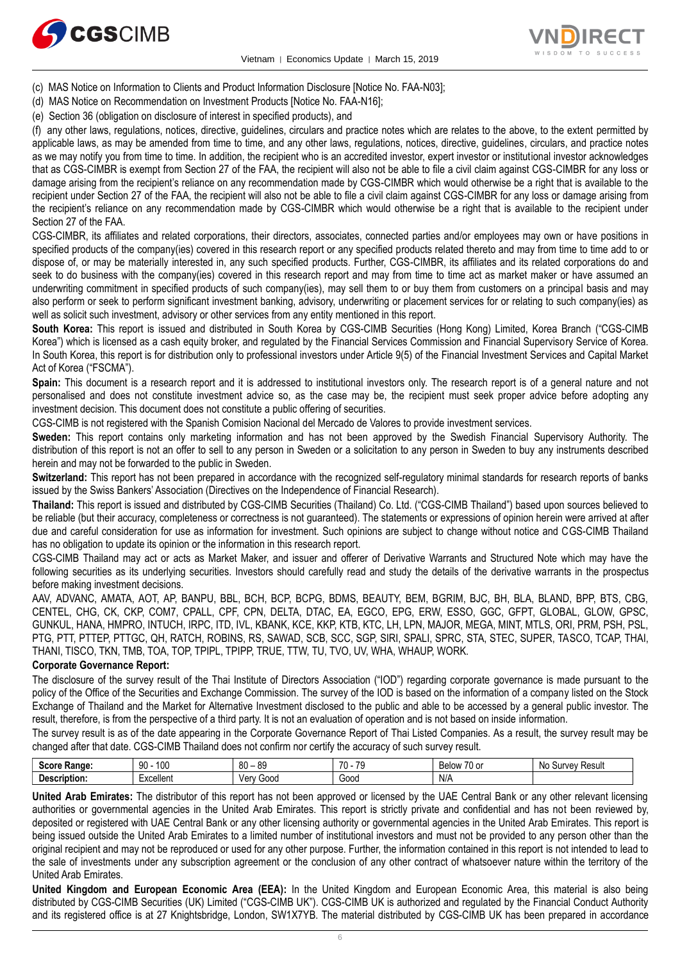



- (c) MAS Notice on Information to Clients and Product Information Disclosure [Notice No. FAA-N03];
- (d) MAS Notice on Recommendation on Investment Products [Notice No. FAA-N16];
- (e) Section 36 (obligation on disclosure of interest in specified products), and

(f) any other laws, regulations, notices, directive, guidelines, circulars and practice notes which are relates to the above, to the extent permitted by applicable laws, as may be amended from time to time, and any other laws, regulations, notices, directive, guidelines, circulars, and practice notes as we may notify you from time to time. In addition, the recipient who is an accredited investor, expert investor or institutional investor acknowledges that as CGS-CIMBR is exempt from Section 27 of the FAA, the recipient will also not be able to file a civil claim against CGS-CIMBR for any loss or damage arising from the recipient's reliance on any recommendation made by CGS-CIMBR which would otherwise be a right that is available to the recipient under Section 27 of the FAA, the recipient will also not be able to file a civil claim against CGS-CIMBR for any loss or damage arising from the recipient's reliance on any recommendation made by CGS-CIMBR which would otherwise be a right that is available to the recipient under Section 27 of the FAA.

CGS-CIMBR, its affiliates and related corporations, their directors, associates, connected parties and/or employees may own or have positions in specified products of the company(ies) covered in this research report or any specified products related thereto and may from time to time add to or dispose of, or may be materially interested in, any such specified products. Further, CGS-CIMBR, its affiliates and its related corporations do and seek to do business with the company(ies) covered in this research report and may from time to time act as market maker or have assumed an underwriting commitment in specified products of such company(ies), may sell them to or buy them from customers on a principal basis and may also perform or seek to perform significant investment banking, advisory, underwriting or placement services for or relating to such company(ies) as well as solicit such investment, advisory or other services from any entity mentioned in this report.

**South Korea:** This report is issued and distributed in South Korea by CGS-CIMB Securities (Hong Kong) Limited, Korea Branch ("CGS-CIMB Korea") which is licensed as a cash equity broker, and regulated by the Financial Services Commission and Financial Supervisory Service of Korea. In South Korea, this report is for distribution only to professional investors under Article 9(5) of the Financial Investment Services and Capital Market Act of Korea ("FSCMA").

**Spain:** This document is a research report and it is addressed to institutional investors only. The research report is of a general nature and not personalised and does not constitute investment advice so, as the case may be, the recipient must seek proper advice before adopting any investment decision. This document does not constitute a public offering of securities.

CGS-CIMB is not registered with the Spanish Comision Nacional del Mercado de Valores to provide investment services.

**Sweden:** This report contains only marketing information and has not been approved by the Swedish Financial Supervisory Authority. The distribution of this report is not an offer to sell to any person in Sweden or a solicitation to any person in Sweden to buy any instruments described herein and may not be forwarded to the public in Sweden.

**Switzerland:** This report has not been prepared in accordance with the recognized self-regulatory minimal standards for research reports of banks issued by the Swiss Bankers' Association (Directives on the Independence of Financial Research).

**Thailand:** This report is issued and distributed by CGS-CIMB Securities (Thailand) Co. Ltd. ("CGS-CIMB Thailand") based upon sources believed to be reliable (but their accuracy, completeness or correctness is not guaranteed). The statements or expressions of opinion herein were arrived at after due and careful consideration for use as information for investment. Such opinions are subject to change without notice and CGS-CIMB Thailand has no obligation to update its opinion or the information in this research report.

CGS-CIMB Thailand may act or acts as Market Maker, and issuer and offerer of Derivative Warrants and Structured Note which may have the following securities as its underlying securities. Investors should carefully read and study the details of the derivative warrants in the prospectus before making investment decisions.

AAV, ADVANC, AMATA, AOT, AP, BANPU, BBL, BCH, BCP, BCPG, BDMS, BEAUTY, BEM, BGRIM, BJC, BH, BLA, BLAND, BPP, BTS, CBG, CENTEL, CHG, CK, CKP, COM7, CPALL, CPF, CPN, DELTA, DTAC, EA, EGCO, EPG, ERW, ESSO, GGC, GFPT, GLOBAL, GLOW, GPSC, GUNKUL, HANA, HMPRO, INTUCH, IRPC, ITD, IVL, KBANK, KCE, KKP, KTB, KTC, LH, LPN, MAJOR, MEGA, MINT, MTLS, ORI, PRM, PSH, PSL, PTG, PTT, PTTEP, PTTGC, QH, RATCH, ROBINS, RS, SAWAD, SCB, SCC, SGP, SIRI, SPALI, SPRC, STA, STEC, SUPER, TASCO, TCAP, THAI, THANI, TISCO, TKN, TMB, TOA, TOP, TPIPL, TPIPP, TRUE, TTW, TU, TVO, UV, WHA, WHAUP, WORK.

#### **Corporate Governance Report:**

The disclosure of the survey result of the Thai Institute of Directors Association ("IOD") regarding corporate governance is made pursuant to the policy of the Office of the Securities and Exchange Commission. The survey of the IOD is based on the information of a company listed on the Stock Exchange of Thailand and the Market for Alternative Investment disclosed to the public and able to be accessed by a general public investor. The result, therefore, is from the perspective of a third party. It is not an evaluation of operation and is not based on inside information.

The survey result is as of the date appearing in the Corporate Governance Report of Thai Listed Companies. As a result, the survey result may be changed after that date. CGS-CIMB Thailand does not confirm nor certify the accuracy of such survey result.

| <b>Soore</b><br>:Range | 100<br>90     | ٥n<br>0C<br>ou<br>ບະ | 70<br>$\overline{\phantom{a}}$<br>. | $\overline{\phantom{a}}$<br>"<br>۱٬۱۸<br>'U or<br>◡◠<br>-- | <b>HAOU</b><br>urvev<br>.No<br>nesu. |
|------------------------|---------------|----------------------|-------------------------------------|------------------------------------------------------------|--------------------------------------|
| . .<br>Description:    | <br>-xcellent | 000نا<br>۷ar<br>আ    | Good                                | N/L<br>IN/M                                                |                                      |

**United Arab Emirates:** The distributor of this report has not been approved or licensed by the UAE Central Bank or any other relevant licensing authorities or governmental agencies in the United Arab Emirates. This report is strictly private and confidential and has not been reviewed by, deposited or registered with UAE Central Bank or any other licensing authority or governmental agencies in the United Arab Emirates. This report is being issued outside the United Arab Emirates to a limited number of institutional investors and must not be provided to any person other than the original recipient and may not be reproduced or used for any other purpose. Further, the information contained in this report is not intended to lead to the sale of investments under any subscription agreement or the conclusion of any other contract of whatsoever nature within the territory of the United Arab Emirates.

**United Kingdom and European Economic Area (EEA):** In the United Kingdom and European Economic Area, this material is also being distributed by CGS-CIMB Securities (UK) Limited ("CGS-CIMB UK"). CGS-CIMB UK is authorized and regulated by the Financial Conduct Authority and its registered office is at 27 Knightsbridge, London, SW1X7YB. The material distributed by CGS-CIMB UK has been prepared in accordance